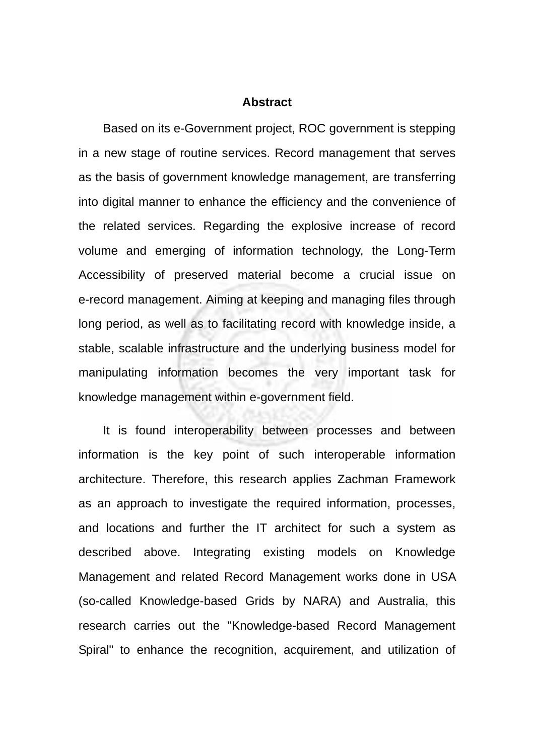## **Abstract**

Based on its e-Government project, ROC government is stepping in a new stage of routine services. Record management that serves as the basis of government knowledge management, are transferring into digital manner to enhance the efficiency and the convenience of the related services. Regarding the explosive increase of record volume and emerging of information technology, the Long-Term Accessibility of preserved material become a crucial issue on e-record management. Aiming at keeping and managing files through long period, as well as to facilitating record with knowledge inside, a stable, scalable infrastructure and the underlying business model for manipulating information becomes the very important task for knowledge management within e-government field.

It is found interoperability between processes and between information is the key point of such interoperable information architecture. Therefore, this research applies Zachman Framework as an approach to investigate the required information, processes, and locations and further the IT architect for such a system as described above. Integrating existing models on Knowledge Management and related Record Management works done in USA (so-called Knowledge-based Grids by NARA) and Australia, this research carries out the "Knowledge-based Record Management Spiral" to enhance the recognition, acquirement, and utilization of